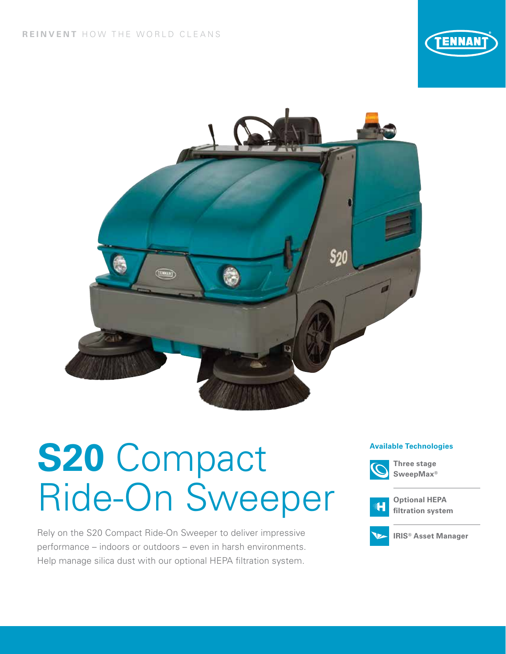



# **Available Technologies S20** Compact Ride-On Sweeper

Rely on the S20 Compact Ride-On Sweeper to deliver impressive performance – indoors or outdoors – even in harsh environments. Help manage silica dust with our optional HEPA filtration system.



**Three stage SweepMax®**



**Optional HEPA filtration system**



**IRIS® Asset Manager**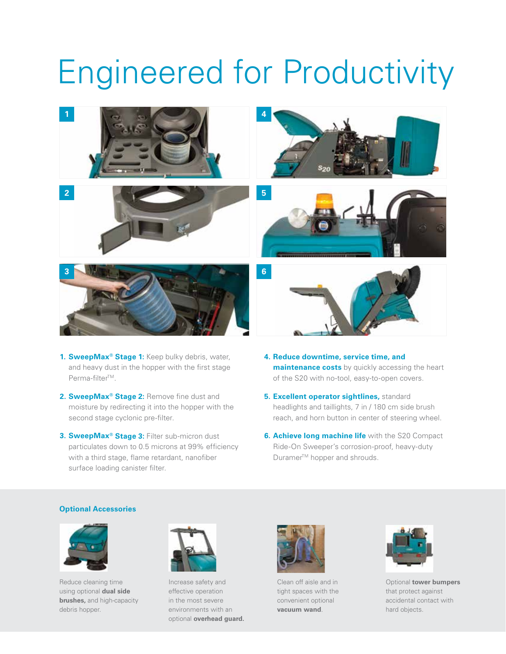## Engineered for Productivity



- 1. **SweepMax<sup>®</sup> Stage 1:** Keep bulky debris, water, and heavy dust in the hopper with the first stage Perma-filter™.
- **2. SweepMax® Stage 2:** Remove fine dust and moisture by redirecting it into the hopper with the second stage cyclonic pre-filter.
- **3. SweepMax® Stage 3:** Filter sub-micron dust particulates down to 0.5 microns at 99% efficiency with a third stage, flame retardant, nanofiber surface loading canister filter.
- **4. Reduce downtime, service time, and maintenance costs** by quickly accessing the heart of the S20 with no-tool, easy-to-open covers.
- **5. Excellent operator sightlines,** standard headlights and taillights, 7 in / 180 cm side brush reach, and horn button in center of steering wheel.
- **6. Achieve long machine life** with the S20 Compact Ride-On Sweeper's corrosion-proof, heavy-duty Duramer<sup>™</sup> hopper and shrouds.

#### **Optional Accessories**



Reduce cleaning time using optional **dual side brushes,** and high-capacity debris hopper.



Increase safety and effective operation in the most severe environments with an optional **overhead guard.**



Clean off aisle and in tight spaces with the convenient optional **vacuum wand**.



Optional **tower bumpers** that protect against accidental contact with hard objects.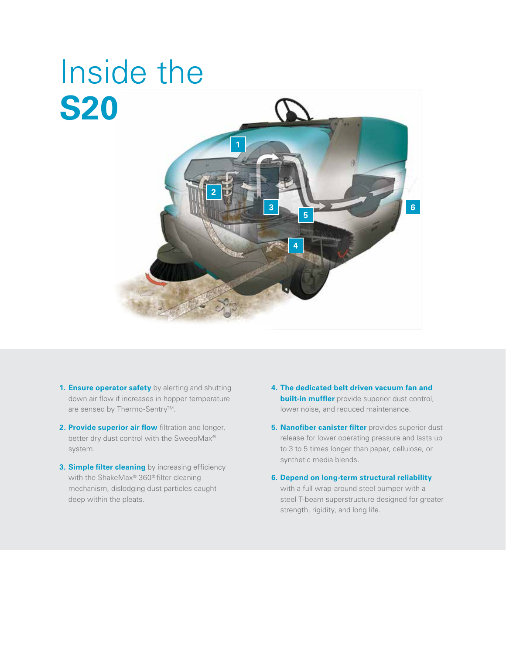## **1 2 3 4 5 6** Inside the **S20**

- **1. Ensure operator safety** by alerting and shutting down air flow if increases in hopper temperature are sensed by Thermo-Sentry™.
- **2. Provide superior air flow** filtration and longer, better dry dust control with the SweepMax® system.
- **3. Simple filter cleaning** by increasing efficiency with the ShakeMax® 360® filter cleaning mechanism, dislodging dust particles caught deep within the pleats.
- **4. The dedicated belt driven vacuum fan and built-in muffler** provide superior dust control, lower noise, and reduced maintenance.
- **5. Nanofiber canister filter** provides superior dust release for lower operating pressure and lasts up to 3 to 5 times longer than paper, cellulose, or synthetic media blends.
- **6. Depend on long-term structural reliability**  with a full wrap-around steel bumper with a steel T-beam superstructure designed for greater strength, rigidity, and long life.